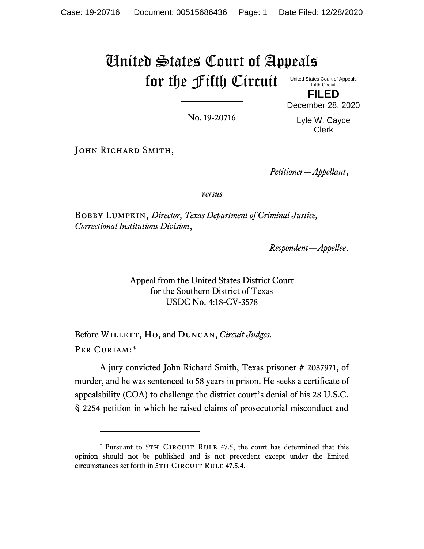## United States Court of Appeals for the Fifth Circuit

United States Court of Appeals Fifth Circuit **FILED**

No. 19-20716

December 28, 2020

Lyle W. Cayce Clerk

JOHN RICHARD SMITH,

*Petitioner—Appellant*,

*versus*

Bobby Lumpkin, *Director, Texas Department of Criminal Justice, Correctional Institutions Division*,

*Respondent—Appellee*.

Appeal from the United States District Court for the Southern District of Texas USDC No. 4:18-CV-3578

Before WILLETT, Ho, and DUNCAN, *Circuit Judges*. Per Curiam:\*

A jury convicted John Richard Smith, Texas prisoner # 2037971, of murder, and he was sentenced to 58 years in prison. He seeks a certificate of appealability (COA) to challenge the district court's denial of his 28 U.S.C. § 2254 petition in which he raised claims of prosecutorial misconduct and

<sup>\*</sup> Pursuant to 5TH CIRCUIT RULE 47.5, the court has determined that this opinion should not be published and is not precedent except under the limited circumstances set forth in 5TH CIRCUIT RULE 47.5.4.